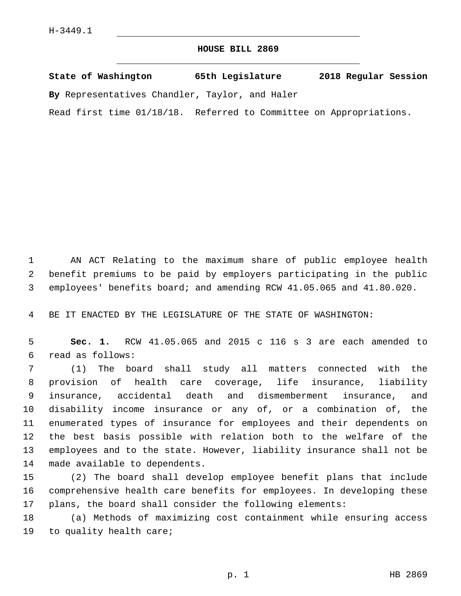## **HOUSE BILL 2869**

**State of Washington 65th Legislature 2018 Regular Session By** Representatives Chandler, Taylor, and Haler

Read first time 01/18/18. Referred to Committee on Appropriations.

 AN ACT Relating to the maximum share of public employee health benefit premiums to be paid by employers participating in the public employees' benefits board; and amending RCW 41.05.065 and 41.80.020.

BE IT ENACTED BY THE LEGISLATURE OF THE STATE OF WASHINGTON:

 **Sec. 1.** RCW 41.05.065 and 2015 c 116 s 3 are each amended to read as follows:6

 (1) The board shall study all matters connected with the provision of health care coverage, life insurance, liability insurance, accidental death and dismemberment insurance, and disability income insurance or any of, or a combination of, the enumerated types of insurance for employees and their dependents on the best basis possible with relation both to the welfare of the employees and to the state. However, liability insurance shall not be 14 made available to dependents.

 (2) The board shall develop employee benefit plans that include comprehensive health care benefits for employees. In developing these plans, the board shall consider the following elements:

 (a) Methods of maximizing cost containment while ensuring access 19 to quality health care;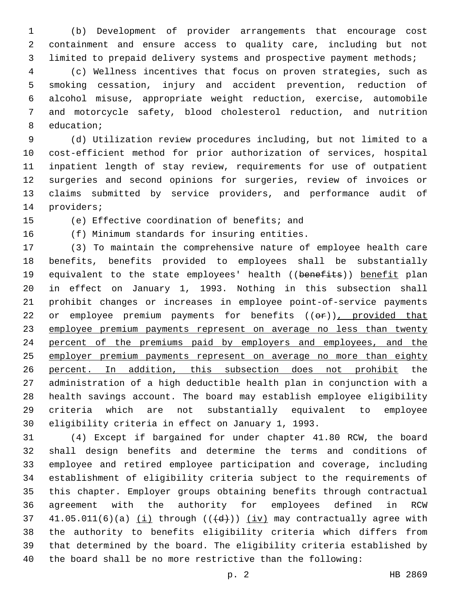(b) Development of provider arrangements that encourage cost containment and ensure access to quality care, including but not limited to prepaid delivery systems and prospective payment methods;

 (c) Wellness incentives that focus on proven strategies, such as smoking cessation, injury and accident prevention, reduction of alcohol misuse, appropriate weight reduction, exercise, automobile and motorcycle safety, blood cholesterol reduction, and nutrition 8 education;

 (d) Utilization review procedures including, but not limited to a cost-efficient method for prior authorization of services, hospital inpatient length of stay review, requirements for use of outpatient surgeries and second opinions for surgeries, review of invoices or claims submitted by service providers, and performance audit of 14 providers;

15 (e) Effective coordination of benefits; and

16 (f) Minimum standards for insuring entities.

 (3) To maintain the comprehensive nature of employee health care benefits, benefits provided to employees shall be substantially 19 equivalent to the state employees' health ((benefits)) benefit plan in effect on January 1, 1993. Nothing in this subsection shall prohibit changes or increases in employee point-of-service payments 22 or employee premium payments for benefits ((or)), provided that employee premium payments represent on average no less than twenty percent of the premiums paid by employers and employees, and the 25 employer premium payments represent on average no more than eighty percent. In addition, this subsection does not prohibit the administration of a high deductible health plan in conjunction with a health savings account. The board may establish employee eligibility criteria which are not substantially equivalent to employee eligibility criteria in effect on January 1, 1993.

 (4) Except if bargained for under chapter 41.80 RCW, the board shall design benefits and determine the terms and conditions of employee and retired employee participation and coverage, including establishment of eligibility criteria subject to the requirements of this chapter. Employer groups obtaining benefits through contractual agreement with the authority for employees defined in RCW  $41.05.011(6)(a)$  (i) through  $((\text{d}))$  (iv) may contractually agree with the authority to benefits eligibility criteria which differs from that determined by the board. The eligibility criteria established by the board shall be no more restrictive than the following: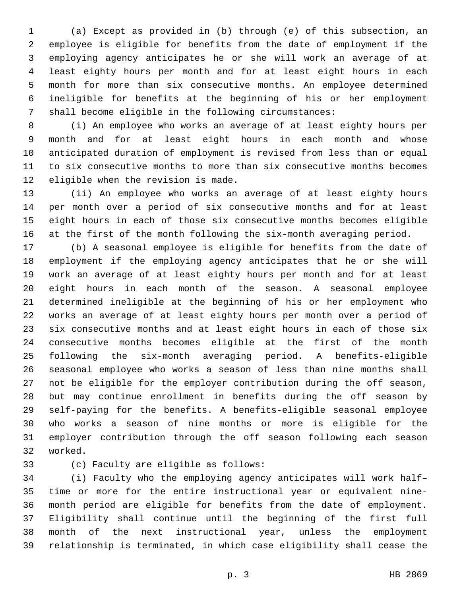(a) Except as provided in (b) through (e) of this subsection, an employee is eligible for benefits from the date of employment if the employing agency anticipates he or she will work an average of at least eighty hours per month and for at least eight hours in each month for more than six consecutive months. An employee determined ineligible for benefits at the beginning of his or her employment shall become eligible in the following circumstances:

 (i) An employee who works an average of at least eighty hours per month and for at least eight hours in each month and whose anticipated duration of employment is revised from less than or equal to six consecutive months to more than six consecutive months becomes 12 eligible when the revision is made.

 (ii) An employee who works an average of at least eighty hours per month over a period of six consecutive months and for at least eight hours in each of those six consecutive months becomes eligible at the first of the month following the six-month averaging period.

 (b) A seasonal employee is eligible for benefits from the date of employment if the employing agency anticipates that he or she will work an average of at least eighty hours per month and for at least eight hours in each month of the season. A seasonal employee determined ineligible at the beginning of his or her employment who works an average of at least eighty hours per month over a period of six consecutive months and at least eight hours in each of those six consecutive months becomes eligible at the first of the month following the six-month averaging period. A benefits-eligible seasonal employee who works a season of less than nine months shall not be eligible for the employer contribution during the off season, but may continue enrollment in benefits during the off season by self-paying for the benefits. A benefits-eligible seasonal employee who works a season of nine months or more is eligible for the employer contribution through the off season following each season 32 worked.

33 (c) Faculty are eligible as follows:

 (i) Faculty who the employing agency anticipates will work half– time or more for the entire instructional year or equivalent nine- month period are eligible for benefits from the date of employment. Eligibility shall continue until the beginning of the first full month of the next instructional year, unless the employment relationship is terminated, in which case eligibility shall cease the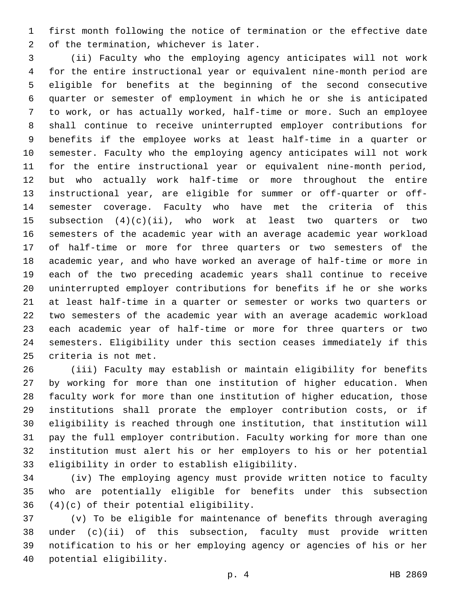first month following the notice of termination or the effective date 2 of the termination, whichever is later.

 (ii) Faculty who the employing agency anticipates will not work for the entire instructional year or equivalent nine-month period are eligible for benefits at the beginning of the second consecutive quarter or semester of employment in which he or she is anticipated to work, or has actually worked, half-time or more. Such an employee shall continue to receive uninterrupted employer contributions for benefits if the employee works at least half-time in a quarter or semester. Faculty who the employing agency anticipates will not work for the entire instructional year or equivalent nine-month period, but who actually work half-time or more throughout the entire instructional year, are eligible for summer or off-quarter or off- semester coverage. Faculty who have met the criteria of this 15 subsection  $(4)(c)(ii)$ , who work at least two quarters or two semesters of the academic year with an average academic year workload of half-time or more for three quarters or two semesters of the academic year, and who have worked an average of half-time or more in each of the two preceding academic years shall continue to receive uninterrupted employer contributions for benefits if he or she works at least half-time in a quarter or semester or works two quarters or two semesters of the academic year with an average academic workload each academic year of half-time or more for three quarters or two semesters. Eligibility under this section ceases immediately if this 25 criteria is not met.

 (iii) Faculty may establish or maintain eligibility for benefits by working for more than one institution of higher education. When faculty work for more than one institution of higher education, those institutions shall prorate the employer contribution costs, or if eligibility is reached through one institution, that institution will pay the full employer contribution. Faculty working for more than one institution must alert his or her employers to his or her potential 33 eligibility in order to establish eligibility.

 (iv) The employing agency must provide written notice to faculty who are potentially eligible for benefits under this subsection  $(4)(c)$  of their potential eligibility.

 (v) To be eligible for maintenance of benefits through averaging under (c)(ii) of this subsection, faculty must provide written notification to his or her employing agency or agencies of his or her 40 potential eligibility.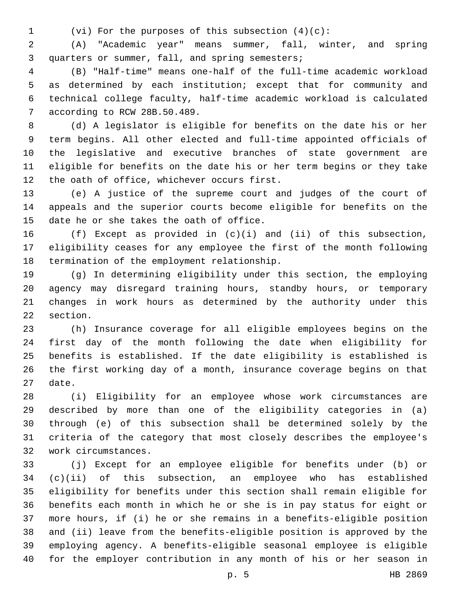(vi) For the purposes of this subsection (4)(c):

 (A) "Academic year" means summer, fall, winter, and spring 3 quarters or summer, fall, and spring semesters;

 (B) "Half-time" means one-half of the full-time academic workload as determined by each institution; except that for community and technical college faculty, half-time academic workload is calculated 7 according to RCW 28B.50.489.

 (d) A legislator is eligible for benefits on the date his or her term begins. All other elected and full-time appointed officials of the legislative and executive branches of state government are eligible for benefits on the date his or her term begins or they take 12 the oath of office, whichever occurs first.

 (e) A justice of the supreme court and judges of the court of appeals and the superior courts become eligible for benefits on the 15 date he or she takes the oath of office.

 (f) Except as provided in (c)(i) and (ii) of this subsection, eligibility ceases for any employee the first of the month following 18 termination of the employment relationship.

 (g) In determining eligibility under this section, the employing agency may disregard training hours, standby hours, or temporary changes in work hours as determined by the authority under this 22 section.

 (h) Insurance coverage for all eligible employees begins on the first day of the month following the date when eligibility for benefits is established. If the date eligibility is established is the first working day of a month, insurance coverage begins on that 27 date.

 (i) Eligibility for an employee whose work circumstances are described by more than one of the eligibility categories in (a) through (e) of this subsection shall be determined solely by the criteria of the category that most closely describes the employee's work circumstances.32

 (j) Except for an employee eligible for benefits under (b) or (c)(ii) of this subsection, an employee who has established eligibility for benefits under this section shall remain eligible for benefits each month in which he or she is in pay status for eight or more hours, if (i) he or she remains in a benefits-eligible position and (ii) leave from the benefits-eligible position is approved by the employing agency. A benefits-eligible seasonal employee is eligible for the employer contribution in any month of his or her season in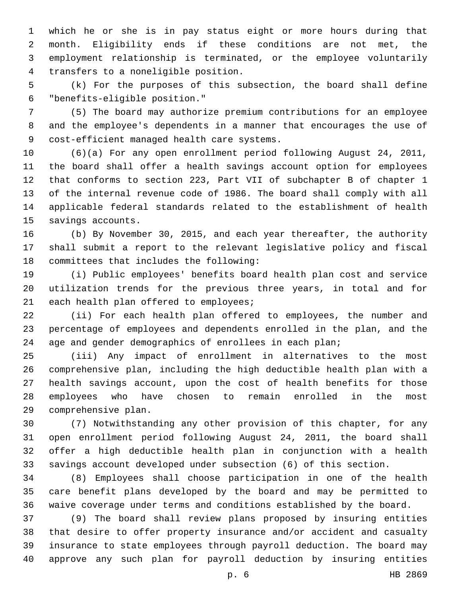which he or she is in pay status eight or more hours during that month. Eligibility ends if these conditions are not met, the employment relationship is terminated, or the employee voluntarily transfers to a noneligible position.4

 (k) For the purposes of this subsection, the board shall define "benefits-eligible position."6

 (5) The board may authorize premium contributions for an employee and the employee's dependents in a manner that encourages the use of 9 cost-efficient managed health care systems.

 (6)(a) For any open enrollment period following August 24, 2011, the board shall offer a health savings account option for employees that conforms to section 223, Part VII of subchapter B of chapter 1 of the internal revenue code of 1986. The board shall comply with all applicable federal standards related to the establishment of health 15 savings accounts.

 (b) By November 30, 2015, and each year thereafter, the authority shall submit a report to the relevant legislative policy and fiscal 18 committees that includes the following:

 (i) Public employees' benefits board health plan cost and service utilization trends for the previous three years, in total and for 21 each health plan offered to employees;

 (ii) For each health plan offered to employees, the number and percentage of employees and dependents enrolled in the plan, and the age and gender demographics of enrollees in each plan;

 (iii) Any impact of enrollment in alternatives to the most comprehensive plan, including the high deductible health plan with a health savings account, upon the cost of health benefits for those employees who have chosen to remain enrolled in the most 29 comprehensive plan.

 (7) Notwithstanding any other provision of this chapter, for any open enrollment period following August 24, 2011, the board shall offer a high deductible health plan in conjunction with a health savings account developed under subsection (6) of this section.

 (8) Employees shall choose participation in one of the health care benefit plans developed by the board and may be permitted to waive coverage under terms and conditions established by the board.

 (9) The board shall review plans proposed by insuring entities that desire to offer property insurance and/or accident and casualty insurance to state employees through payroll deduction. The board may approve any such plan for payroll deduction by insuring entities

p. 6 HB 2869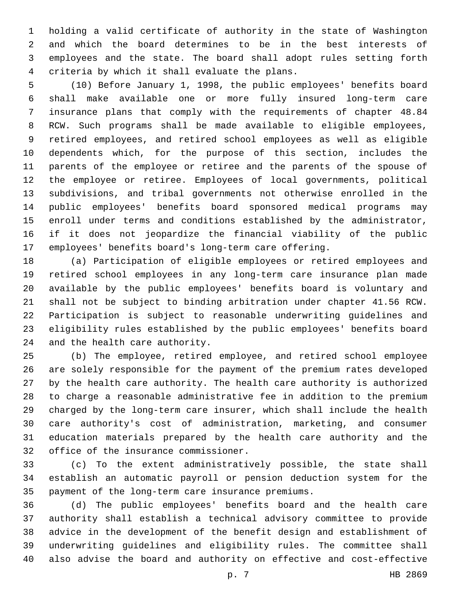holding a valid certificate of authority in the state of Washington and which the board determines to be in the best interests of employees and the state. The board shall adopt rules setting forth criteria by which it shall evaluate the plans.4

 (10) Before January 1, 1998, the public employees' benefits board shall make available one or more fully insured long-term care insurance plans that comply with the requirements of chapter 48.84 RCW. Such programs shall be made available to eligible employees, retired employees, and retired school employees as well as eligible dependents which, for the purpose of this section, includes the parents of the employee or retiree and the parents of the spouse of the employee or retiree. Employees of local governments, political subdivisions, and tribal governments not otherwise enrolled in the public employees' benefits board sponsored medical programs may enroll under terms and conditions established by the administrator, if it does not jeopardize the financial viability of the public employees' benefits board's long-term care offering.

 (a) Participation of eligible employees or retired employees and retired school employees in any long-term care insurance plan made available by the public employees' benefits board is voluntary and shall not be subject to binding arbitration under chapter 41.56 RCW. Participation is subject to reasonable underwriting guidelines and eligibility rules established by the public employees' benefits board 24 and the health care authority.

 (b) The employee, retired employee, and retired school employee are solely responsible for the payment of the premium rates developed by the health care authority. The health care authority is authorized to charge a reasonable administrative fee in addition to the premium charged by the long-term care insurer, which shall include the health care authority's cost of administration, marketing, and consumer education materials prepared by the health care authority and the 32 office of the insurance commissioner.

 (c) To the extent administratively possible, the state shall establish an automatic payroll or pension deduction system for the 35 payment of the long-term care insurance premiums.

 (d) The public employees' benefits board and the health care authority shall establish a technical advisory committee to provide advice in the development of the benefit design and establishment of underwriting guidelines and eligibility rules. The committee shall also advise the board and authority on effective and cost-effective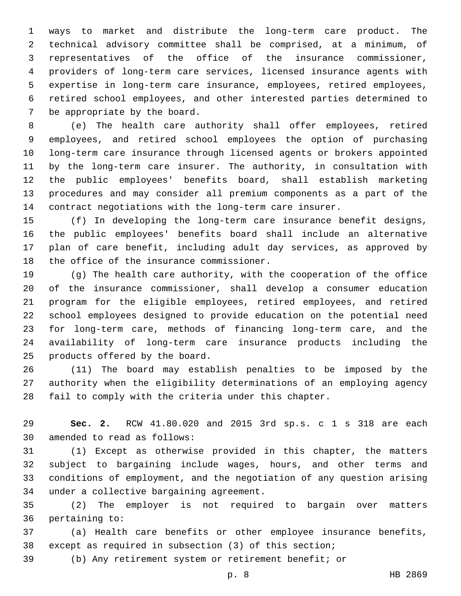ways to market and distribute the long-term care product. The technical advisory committee shall be comprised, at a minimum, of representatives of the office of the insurance commissioner, providers of long-term care services, licensed insurance agents with expertise in long-term care insurance, employees, retired employees, retired school employees, and other interested parties determined to 7 be appropriate by the board.

 (e) The health care authority shall offer employees, retired employees, and retired school employees the option of purchasing long-term care insurance through licensed agents or brokers appointed by the long-term care insurer. The authority, in consultation with the public employees' benefits board, shall establish marketing procedures and may consider all premium components as a part of the contract negotiations with the long-term care insurer.

 (f) In developing the long-term care insurance benefit designs, the public employees' benefits board shall include an alternative plan of care benefit, including adult day services, as approved by 18 the office of the insurance commissioner.

 (g) The health care authority, with the cooperation of the office of the insurance commissioner, shall develop a consumer education program for the eligible employees, retired employees, and retired school employees designed to provide education on the potential need for long-term care, methods of financing long-term care, and the availability of long-term care insurance products including the 25 products offered by the board.

 (11) The board may establish penalties to be imposed by the authority when the eligibility determinations of an employing agency fail to comply with the criteria under this chapter.

 **Sec. 2.** RCW 41.80.020 and 2015 3rd sp.s. c 1 s 318 are each 30 amended to read as follows:

 (1) Except as otherwise provided in this chapter, the matters subject to bargaining include wages, hours, and other terms and conditions of employment, and the negotiation of any question arising 34 under a collective bargaining agreement.

 (2) The employer is not required to bargain over matters 36 pertaining to:

 (a) Health care benefits or other employee insurance benefits, except as required in subsection (3) of this section;

(b) Any retirement system or retirement benefit; or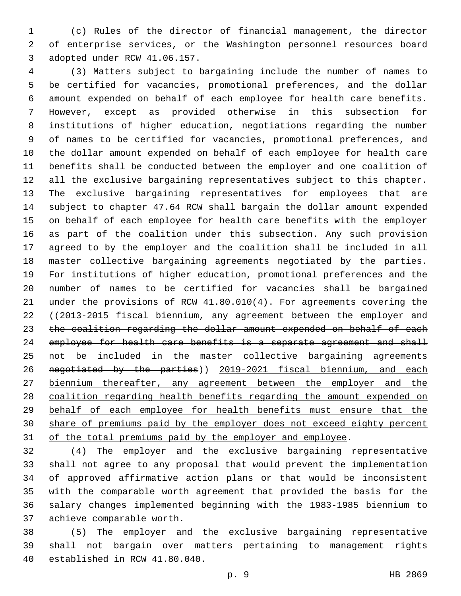(c) Rules of the director of financial management, the director of enterprise services, or the Washington personnel resources board 3 adopted under RCW 41.06.157.

 (3) Matters subject to bargaining include the number of names to be certified for vacancies, promotional preferences, and the dollar amount expended on behalf of each employee for health care benefits. However, except as provided otherwise in this subsection for institutions of higher education, negotiations regarding the number of names to be certified for vacancies, promotional preferences, and the dollar amount expended on behalf of each employee for health care benefits shall be conducted between the employer and one coalition of all the exclusive bargaining representatives subject to this chapter. The exclusive bargaining representatives for employees that are subject to chapter 47.64 RCW shall bargain the dollar amount expended on behalf of each employee for health care benefits with the employer as part of the coalition under this subsection. Any such provision agreed to by the employer and the coalition shall be included in all master collective bargaining agreements negotiated by the parties. For institutions of higher education, promotional preferences and the number of names to be certified for vacancies shall be bargained under the provisions of RCW 41.80.010(4). For agreements covering the ((2013-2015 fiscal biennium, any agreement between the employer and the coalition regarding the dollar amount expended on behalf of each 24 employee for health care benefits is a separate agreement and shall not be included in the master collective bargaining agreements negotiated by the parties)) 2019-2021 fiscal biennium, and each biennium thereafter, any agreement between the employer and the coalition regarding health benefits regarding the amount expended on behalf of each employee for health benefits must ensure that the share of premiums paid by the employer does not exceed eighty percent 31 of the total premiums paid by the employer and employee.

 (4) The employer and the exclusive bargaining representative shall not agree to any proposal that would prevent the implementation of approved affirmative action plans or that would be inconsistent with the comparable worth agreement that provided the basis for the salary changes implemented beginning with the 1983-1985 biennium to 37 achieve comparable worth.

 (5) The employer and the exclusive bargaining representative shall not bargain over matters pertaining to management rights 40 established in RCW 41.80.040.